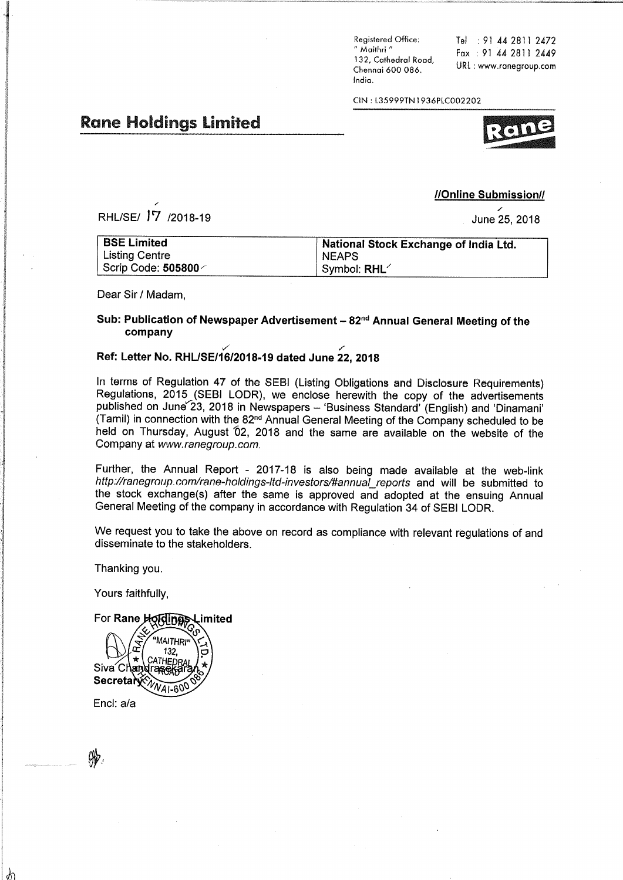Registered Office: " Maithri" 132. Cathedral Road. Chennai 600 086. India.

Tel : 91 44 2811 2472 Fax: 91 44 2811 2449 URL: www.ranegroup.com

CIN: L35999TN1936PLC002202

# **Rane Holdings Limited**

# //Online Submission//

June 25, 2018

| <b>BSE Limited</b>            | National Stock Exchange of India Ltd. |
|-------------------------------|---------------------------------------|
| Listing Centre                | <b>NEAPS</b>                          |
| │ Scrip Code: <b>505800</b> ∕ | Symbol: RHL <sup>1</sup>              |

Dear Sir / Madam.

RHL/SE/ <sup>17</sup> /2018-19

### Sub: Publication of Newspaper Advertisement - 82<sup>nd</sup> Annual General Meeting of the company

## Ref: Letter No. RHL/SE/16/2018-19 dated June 22, 2018

In terms of Regulation 47 of the SEBI (Listing Obligations and Disclosure Requirements) Regulations, 2015 (SEBI LODR), we enclose herewith the copy of the advertisements published on June 23, 2018 in Newspapers - 'Business Standard' (English) and 'Dinamani' (Tamil) in connection with the 82<sup>nd</sup> Annual General Meeting of the Company scheduled to be held on Thursday, August 02, 2018 and the same are available on the website of the Company at www.ranegroup.com.

Further, the Annual Report - 2017-18 is also being made available at the web-link http://ranegroup.com/rane-holdings-ltd-investors/#annual\_reports and will be submitted to the stock exchange(s) after the same is approved and adopted at the ensuing Annual General Meeting of the company in accordance with Regulation 34 of SEBI LODR.

We request you to take the above on record as compliance with relevant regulations of and disseminate to the stakeholders.

Thanking you.

Yours faithfully.

For Rane Holdings Limited

MAITHRI 132  $\star$ 'HEN Siva<sup>Ch</sup> lΞī Secretar

Encl: a/a

Å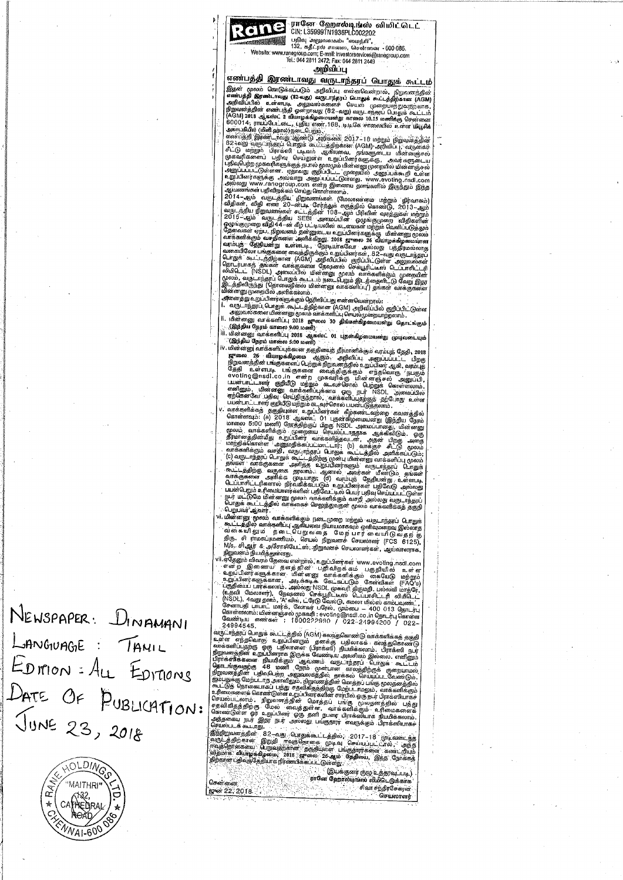Ran

் <mark>ரானே - ஹோல்டி,ங்ஸ்</mark> - லியிட்டெட்<br>- CIN: L359991N1936PLC002202

— อาเมริการ (เมือง - มาราวงาน - มาราวงาน - มาราวงาน - มาราวงาน - มาราวงาน - มาราวงาน - มาราวงาน - มาราวงาน - มาราวงาน - มาราวงาน - มาราวงาน - มาราวงาน - มาราวงาน - มาราวงาน - มาราวงาน - มาราวงาน - มาราวงาน - มาราวงาน - มา 喇嘛 Website

#### அறிவிப்பு

எண்பத்தி இரண்டாவது வருடாந்தரப் பொதுக் கூட்டம்

அனைத்து உறப்பினர்களுக்கும் தெரிவிப்பது என்னவென்றால்:

் அலைத்து உறுப்பினர்களுக்கும் தெரிவிப்பது என்னவென்றால்:<br>| . வருடாந்தரப், பொதுக் :கூட்டத்திற்கான (AQM) அறிவிப்பில் குறிப்பிட்டுள்ள<br>| . அனுவல்களை மின்னனு முலம் வாக்களிப்பு பொழல்முறையாற்றலாம் .<br>| . . . .(இந்திய நேரம் காலை 30

்பெறுபவர ஆவார<br>- பின்னனு மூலம் வாக்களிக்கும் நடைமுறை மற்றும் வருடாந்தரப் போதுக்<br>- கூட்டத்தில் வாக்களிப்பு ஆகியவை நியாயமாகவும் ஒளிவுமறைவு இல்லாத<br>- வீ கையி லு ம - நடை பெறு வ தை மேற்பார் வையிடு வ தற்கு<br>- தி வா க - வீசாம்மே - M/s. சிஆர் & அசோசியேட்ஸ், நிறுவனச் செயலாளர்கள், ஆய்வாளராக.

M/s. சி.ஆர் & அசோசியேட்ஸ், நிறுவனச் செயலாளர்கள், அய்வாளர்<br>நிறுவனம் நியமித்துள்ளது.<br>பிருதேனும் விவரம் தேன் என்றால், உறுப்பினர்கள் www.evoting.insid.com<br>- என்ற இணையி தளத்தின் பதிவிறக்கம் பகுதியில் உள்ள உறுப்பினர்களுக்கான,

கேண்டிய எண்கள் ; 1800222980 / 022-24994200 / 022-<br>249451-11 எண்கள் ; 1800222980 / 022-24994200 / 022-<br>2494-11 எருக்கூட்டத்தில் (AGM) கலந்துகொண்டு வாக்களிக்கத் தகுதி<br>24 என் எந்தவொரு உறுப்பினரும் தனக்கு பதிலாகக் கலந்துகொண

சென்னை grer 22, 2018.

NEWSPAPER: DINAMANI LANGUAGE : TANIL EDITION : ALL EDITIONS DATE OF PUBLICATION: JUNE 23, 2018